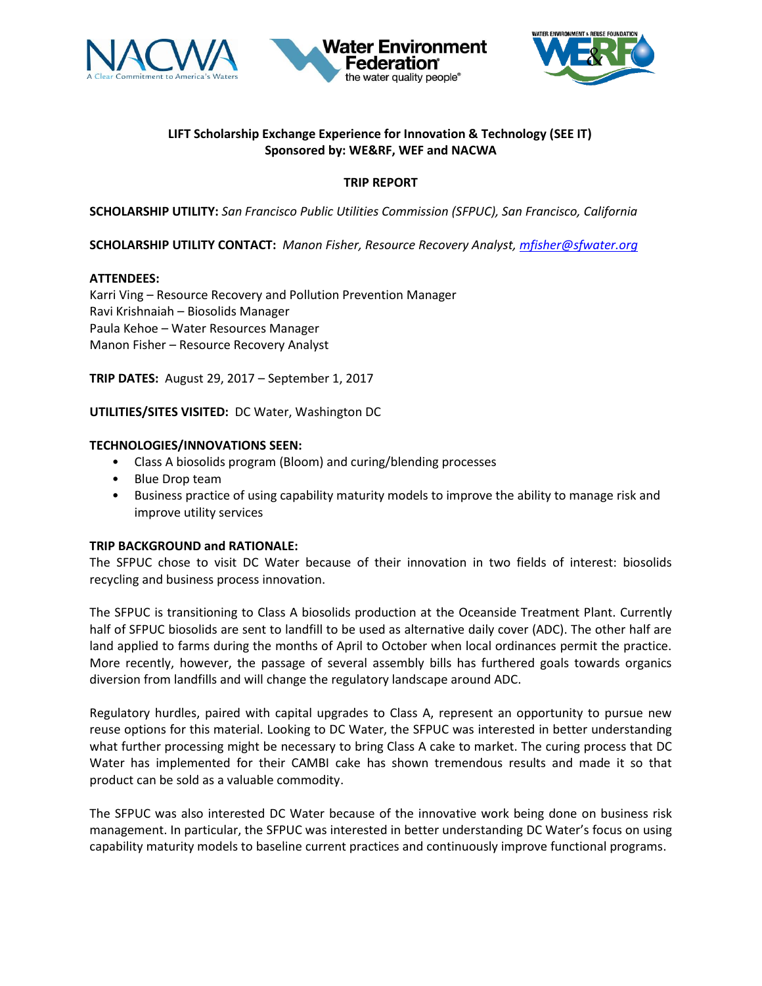





# **LIFT Scholarship Exchange Experience for Innovation & Technology (SEE IT) Sponsored by: WE&RF, WEF and NACWA**

# **TRIP REPORT**

**SCHOLARSHIP UTILITY:** *San Francisco Public Utilities Commission (SFPUC), San Francisco, California*

**SCHOLARSHIP UTILITY CONTACT:** *Manon Fisher, Resource Recovery Analyst[, mfisher@sfwater.org](mailto:mfisher@sfwater.org)*

### **ATTENDEES:**

Karri Ving – Resource Recovery and Pollution Prevention Manager Ravi Krishnaiah – Biosolids Manager Paula Kehoe – Water Resources Manager Manon Fisher – Resource Recovery Analyst

**TRIP DATES:** August 29, 2017 – September 1, 2017

**UTILITIES/SITES VISITED:** DC Water, Washington DC

### **TECHNOLOGIES/INNOVATIONS SEEN:**

- Class A biosolids program (Bloom) and curing/blending processes
- Blue Drop team
- Business practice of using capability maturity models to improve the ability to manage risk and improve utility services

### **TRIP BACKGROUND and RATIONALE:**

The SFPUC chose to visit DC Water because of their innovation in two fields of interest: biosolids recycling and business process innovation.

The SFPUC is transitioning to Class A biosolids production at the Oceanside Treatment Plant. Currently half of SFPUC biosolids are sent to landfill to be used as alternative daily cover (ADC). The other half are land applied to farms during the months of April to October when local ordinances permit the practice. More recently, however, the passage of several assembly bills has furthered goals towards organics diversion from landfills and will change the regulatory landscape around ADC.

Regulatory hurdles, paired with capital upgrades to Class A, represent an opportunity to pursue new reuse options for this material. Looking to DC Water, the SFPUC was interested in better understanding what further processing might be necessary to bring Class A cake to market. The curing process that DC Water has implemented for their CAMBI cake has shown tremendous results and made it so that product can be sold as a valuable commodity.

The SFPUC was also interested DC Water because of the innovative work being done on business risk management. In particular, the SFPUC was interested in better understanding DC Water's focus on using capability maturity models to baseline current practices and continuously improve functional programs.